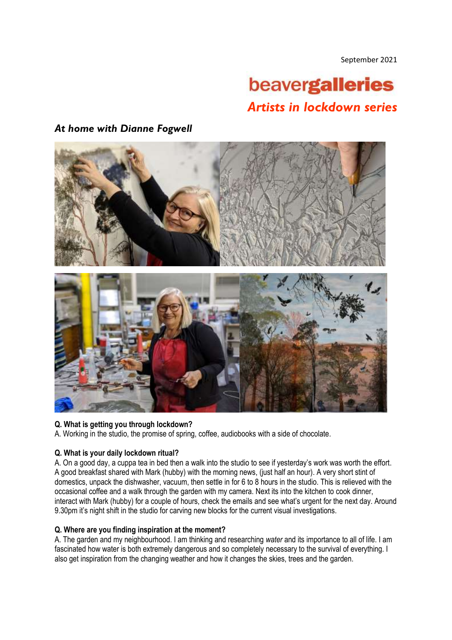September 2021

# beavergalleries *Artists in lockdown series*

# *At home with Dianne Fogwell*



## **Q. What is getting you through lockdown?**

A. Working in the studio, the promise of spring, coffee, audiobooks with a side of chocolate.

## **Q. What is your daily lockdown ritual?**

A. On a good day, a cuppa tea in bed then a walk into the studio to see if yesterday's work was worth the effort. A good breakfast shared with Mark (hubby) with the morning news, (just half an hour). A very short stint of domestics, unpack the dishwasher, vacuum, then settle in for 6 to 8 hours in the studio. This is relieved with the occasional coffee and a walk through the garden with my camera. Next its into the kitchen to cook dinner, interact with Mark (hubby) for a couple of hours, check the emails and see what's urgent for the next day. Around 9.30pm it's night shift in the studio for carving new blocks for the current visual investigations.

#### **Q. Where are you finding inspiration at the moment?**

A. The garden and my neighbourhood. I am thinking and researching *water* and its importance to all of life. I am fascinated how water is both extremely dangerous and so completely necessary to the survival of everything. I also get inspiration from the changing weather and how it changes the skies, trees and the garden.